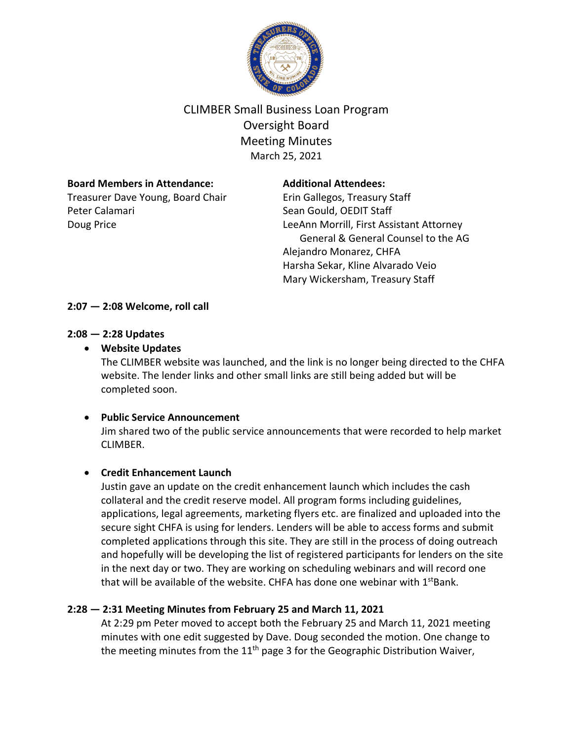

# CLIMBER Small Business Loan Program Oversight Board Meeting Minutes March 25, 2021

## **Board Members in Attendance:**

Treasurer Dave Young, Board Chair Peter Calamari Doug Price

#### **Additional Attendees:**

Erin Gallegos, Treasury Staff Sean Gould, OEDIT Staff LeeAnn Morrill, First Assistant Attorney General & General Counsel to the AG Alejandro Monarez, CHFA Harsha Sekar, Kline Alvarado Veio Mary Wickersham, Treasury Staff

### **2:07 — 2:08 Welcome, roll call**

#### **2:08 — 2:28 Updates**

### • **Website Updates**

The CLIMBER website was launched, and the link is no longer being directed to the CHFA website. The lender links and other small links are still being added but will be completed soon.

#### • **Public Service Announcement**

Jim shared two of the public service announcements that were recorded to help market CLIMBER.

# • **Credit Enhancement Launch**

Justin gave an update on the credit enhancement launch which includes the cash collateral and the credit reserve model. All program forms including guidelines, applications, legal agreements, marketing flyers etc. are finalized and uploaded into the secure sight CHFA is using for lenders. Lenders will be able to access forms and submit completed applications through this site. They are still in the process of doing outreach and hopefully will be developing the list of registered participants for lenders on the site in the next day or two. They are working on scheduling webinars and will record one that will be available of the website. CHFA has done one webinar with  $1<sup>st</sup>Bank$ .

# **2:28 — 2:31 Meeting Minutes from February 25 and March 11, 2021**

At 2:29 pm Peter moved to accept both the February 25 and March 11, 2021 meeting minutes with one edit suggested by Dave. Doug seconded the motion. One change to the meeting minutes from the  $11<sup>th</sup>$  page 3 for the Geographic Distribution Waiver,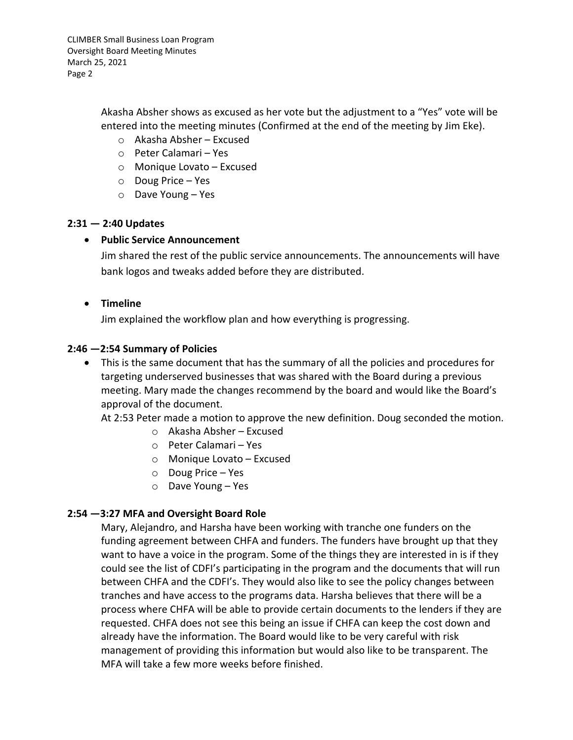CLIMBER Small Business Loan Program Oversight Board Meeting Minutes March 25, 2021 Page 2

> Akasha Absher shows as excused as her vote but the adjustment to a "Yes" vote will be entered into the meeting minutes (Confirmed at the end of the meeting by Jim Eke).

- o Akasha Absher Excused
- o Peter Calamari Yes
- o Monique Lovato Excused
- o Doug Price Yes
- o Dave Young Yes

### **2:31 — 2:40 Updates**

### • **Public Service Announcement**

Jim shared the rest of the public service announcements. The announcements will have bank logos and tweaks added before they are distributed.

### • **Timeline**

Jim explained the workflow plan and how everything is progressing.

### **2:46 —2:54 Summary of Policies**

• This is the same document that has the summary of all the policies and procedures for targeting underserved businesses that was shared with the Board during a previous meeting. Mary made the changes recommend by the board and would like the Board's approval of the document.

At 2:53 Peter made a motion to approve the new definition. Doug seconded the motion.

- o Akasha Absher Excused
- o Peter Calamari Yes
- o Monique Lovato Excused
- o Doug Price Yes
- o Dave Young Yes

# **2:54 —3:27 MFA and Oversight Board Role**

Mary, Alejandro, and Harsha have been working with tranche one funders on the funding agreement between CHFA and funders. The funders have brought up that they want to have a voice in the program. Some of the things they are interested in is if they could see the list of CDFI's participating in the program and the documents that will run between CHFA and the CDFI's. They would also like to see the policy changes between tranches and have access to the programs data. Harsha believes that there will be a process where CHFA will be able to provide certain documents to the lenders if they are requested. CHFA does not see this being an issue if CHFA can keep the cost down and already have the information. The Board would like to be very careful with risk management of providing this information but would also like to be transparent. The MFA will take a few more weeks before finished.